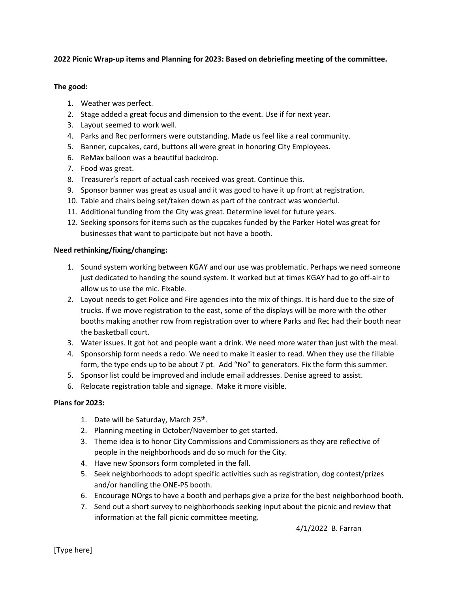# **2022 Picnic Wrap-up items and Planning for 2023: Based on debriefing meeting of the committee.**

# **The good:**

- 1. Weather was perfect.
- 2. Stage added a great focus and dimension to the event. Use if for next year.
- 3. Layout seemed to work well.
- 4. Parks and Rec performers were outstanding. Made us feel like a real community.
- 5. Banner, cupcakes, card, buttons all were great in honoring City Employees.
- 6. ReMax balloon was a beautiful backdrop.
- 7. Food was great.
- 8. Treasurer's report of actual cash received was great. Continue this.
- 9. Sponsor banner was great as usual and it was good to have it up front at registration.
- 10. Table and chairs being set/taken down as part of the contract was wonderful.
- 11. Additional funding from the City was great. Determine level for future years.
- 12. Seeking sponsors for items such as the cupcakes funded by the Parker Hotel was great for businesses that want to participate but not have a booth.

## **Need rethinking/fixing/changing:**

- 1. Sound system working between KGAY and our use was problematic. Perhaps we need someone just dedicated to handing the sound system. It worked but at times KGAY had to go off-air to allow us to use the mic. Fixable.
- 2. Layout needs to get Police and Fire agencies into the mix of things. It is hard due to the size of trucks. If we move registration to the east, some of the displays will be more with the other booths making another row from registration over to where Parks and Rec had their booth near the basketball court.
- 3. Water issues. It got hot and people want a drink. We need more water than just with the meal.
- 4. Sponsorship form needs a redo. We need to make it easier to read. When they use the fillable form, the type ends up to be about 7 pt. Add "No" to generators. Fix the form this summer.
- 5. Sponsor list could be improved and include email addresses. Denise agreed to assist.
- 6. Relocate registration table and signage. Make it more visible.

## **Plans for 2023:**

- 1. Date will be Saturday, March 25<sup>th</sup>.
- 2. Planning meeting in October/November to get started.
- 3. Theme idea is to honor City Commissions and Commissioners as they are reflective of people in the neighborhoods and do so much for the City.
- 4. Have new Sponsors form completed in the fall.
- 5. Seek neighborhoods to adopt specific activities such as registration, dog contest/prizes and/or handling the ONE-PS booth.
- 6. Encourage NOrgs to have a booth and perhaps give a prize for the best neighborhood booth.
- 7. Send out a short survey to neighborhoods seeking input about the picnic and review that information at the fall picnic committee meeting.

4/1/2022 B. Farran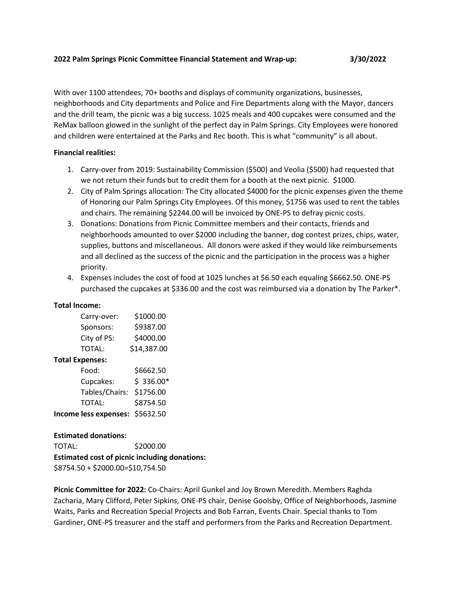#### **2022 Palm Springs Picnic Committee Financial Statement and Wrap-up: 3/30/2022**

With over 1100 attendees, 70+ booths and displays of community organizations, businesses, neighborhoods and City departments and Police and Fire Departments along with the Mayor, dancers and the drill team, the picnic was a big success. 1025 meals and 400 cupcakes were consumed and the ReMax balloon glowed in the sunlight of the perfect day in Palm Springs. City Employees were honored and children were entertained at the Parks and Rec booth. This is what "community" is all about.

## **Financial realities:**

- 1. Carry-over from 2019: Sustainability Commission (\$500) and Veolia (\$500) had requested that we not return their funds but to credit them for a booth at the next picnic. \$1000.
- 2. City of Palm Springs allocation: The City allocated \$4000 for the picnic expenses given the theme of Honoring our Palm Springs City Employees. Of this money, \$1756 was used to rent the tables and chairs. The remaining \$2244.00 will be invoiced by ONE-PS to defray picnic costs.
- 3. Donations: Donations from Picnic Committee members and their contacts, friends and neighborhoods amounted to over \$2000 including the banner, dog contest prizes, chips, water, supplies, buttons and miscellaneous. All donors were asked if they would like reimbursements and all declined as the success of the picnic and the participation in the process was a higher priority.
- 4. Expenses includes the cost of food at 1025 lunches at \$6.50 each equaling \$6662.50. ONE-PS purchased the cupcakes at \$336.00 and the cost was reimbursed via a donation by The Parker\*.

## **Total Income:**

| Carry-over: | \$1000.00   |
|-------------|-------------|
| Sponsors:   | \$9387.00   |
| City of PS: | \$4000.00   |
| TOTAL:      | \$14,387.00 |
| -vnancac'   |             |

| <b>Total Expenses:</b>   |            |  |
|--------------------------|------------|--|
| Food:                    | \$6662.50  |  |
| Cupcakes:                | $$336.00*$ |  |
| Tables/Chairs: \$1756.00 |            |  |

| <b>I AVICS/ CHAILS.</b> 21/ JU.UU |           |
|-----------------------------------|-----------|
| TOTAL:                            | \$8754.50 |
| Income less expenses: \$5632.50   |           |

# **Estimated donations:**

TOTAL: \$2000.00 **Estimated cost of picnic including donations:** \$8754.50 + \$2000.00=\$10,754.50

**Picnic Committee for 2022:** Co-Chairs: April Gunkel and Joy Brown Meredith. Members Raghda Zacharia, Mary Clifford, Peter Sipkins, ONE-PS chair, Denise Goolsby, Office of Neighborhoods, Jasmine Waits, Parks and Recreation Special Projects and Bob Farran, Events Chair. Special thanks to Tom Gardiner, ONE-PS treasurer and the staff and performers from the Parks and Recreation Department.